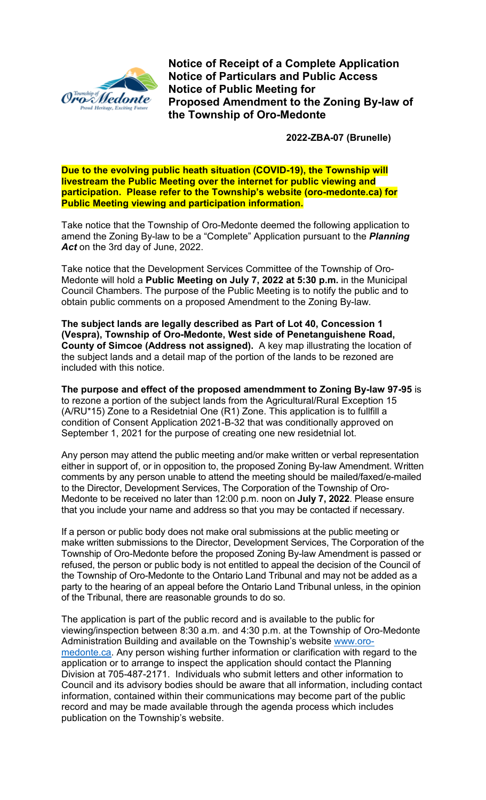

**Notice of Receipt of a Complete Application Notice of Particulars and Public Access Notice of Public Meeting for Proposed Amendment to the Zoning By-law of the Township of Oro-Medonte**

**2022-ZBA-07 (Brunelle)** 

**Due to the evolving public heath situation (COVID-19), the Township will livestream the Public Meeting over the internet for public viewing and participation. Please refer to the Township's website (oro-medonte.ca) for Public Meeting viewing and participation information.**

Take notice that the Township of Oro-Medonte deemed the following application to amend the Zoning By-law to be a "Complete" Application pursuant to the *Planning Act* on the 3rd day of June, 2022.

Take notice that the Development Services Committee of the Township of Oro-Medonte will hold a **Public Meeting on July 7, 2022 at 5:30 p.m.** in the Municipal Council Chambers. The purpose of the Public Meeting is to notify the public and to obtain public comments on a proposed Amendment to the Zoning By-law.

**The subject lands are legally described as Part of Lot 40, Concession 1 (Vespra), Township of Oro-Medonte, West side of Penetanguishene Road, County of Simcoe (Address not assigned).** A key map illustrating the location of the subject lands and a detail map of the portion of the lands to be rezoned are included with this notice.

**The purpose and effect of the proposed amendmment to Zoning By-law 97-95** is to rezone a portion of the subject lands from the Agricultural/Rural Exception 15 (A/RU\*15) Zone to a Residetnial One (R1) Zone. This application is to fullfill a condition of Consent Application 2021-B-32 that was conditionally approved on September 1, 2021 for the purpose of creating one new residetnial lot.

Any person may attend the public meeting and/or make written or verbal representation either in support of, or in opposition to, the proposed Zoning By-law Amendment. Written comments by any person unable to attend the meeting should be mailed/faxed/e-mailed to the Director, Development Services, The Corporation of the Township of Oro-Medonte to be received no later than 12:00 p.m. noon on **July 7, 2022**. Please ensure that you include your name and address so that you may be contacted if necessary.

If a person or public body does not make oral submissions at the public meeting or make written submissions to the Director, Development Services, The Corporation of the Township of Oro-Medonte before the proposed Zoning By-law Amendment is passed or refused, the person or public body is not entitled to appeal the decision of the Council of the Township of Oro-Medonte to the Ontario Land Tribunal and may not be added as a party to the hearing of an appeal before the Ontario Land Tribunal unless, in the opinion of the Tribunal, there are reasonable grounds to do so.

The application is part of the public record and is available to the public for viewing/inspection between 8:30 a.m. and 4:30 p.m. at the Township of Oro-Medonte Administration Building and available on the Township's website [www.oro](http://www.oro-medonte.ca/)[medonte.ca.](http://www.oro-medonte.ca/) Any person wishing further information or clarification with regard to the application or to arrange to inspect the application should contact the Planning Division at 705-487-2171. Individuals who submit letters and other information to Council and its advisory bodies should be aware that all information, including contact information, contained within their communications may become part of the public record and may be made available through the agenda process which includes publication on the Township's website.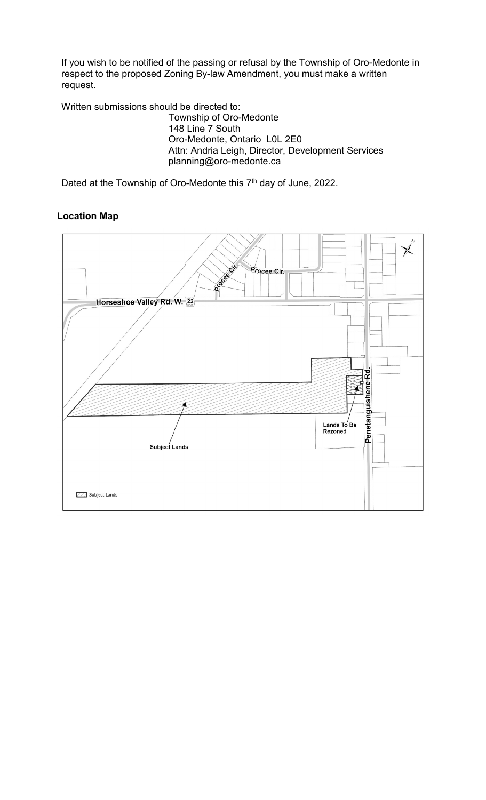If you wish to be notified of the passing or refusal by the Township of Oro-Medonte in respect to the proposed Zoning By-law Amendment, you must make a written request.

Written submissions should be directed to: Township of Oro-Medonte 148 Line 7 South Oro-Medonte, Ontario L0L 2E0 Attn: Andria Leigh, Director, Development Services planning@oro-medonte.ca

Dated at the Township of Oro-Medonte this 7<sup>th</sup> day of June, 2022.

## **Location Map**